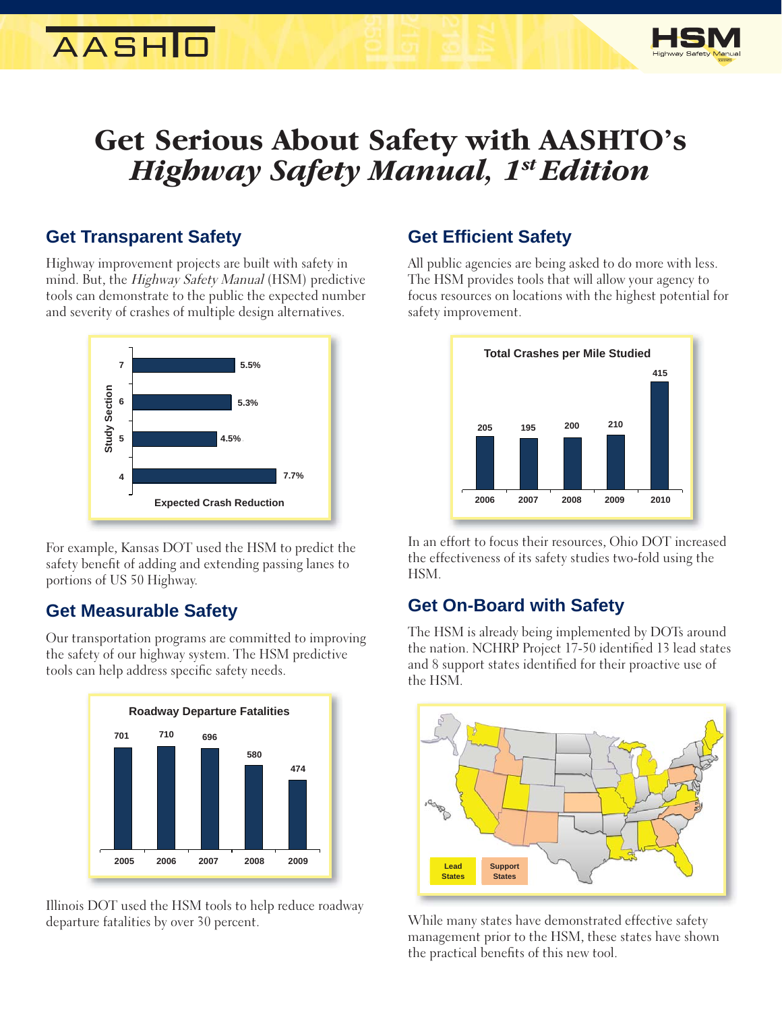# **AASHID**



## **Get Serious About Safety with AASHTO's**  *Highway Safety Manual, 1st Edition*

### **Get Transparent Safety**

Highway improvement projects are built with safety in mind. But, the Highway Safety Manual (HSM) predictive tools can demonstrate to the public the expected number and severity of crashes of multiple design alternatives.



For example, Kansas DOT used the HSM to predict the safety benefit of adding and extending passing lanes to portions of US 50 Highway.

## **Get Measurable Safety**

Our transportation programs are committed to improving the safety of our highway system. The HSM predictive tools can help address specific safety needs.



Illinois DOT used the HSM tools to help reduce roadway departure fatalities by over 30 percent.

## **Get Effi cient Safety**

All public agencies are being asked to do more with less. The HSM provides tools that will allow your agency to focus resources on locations with the highest potential for safety improvement.



In an effort to focus their resources, Ohio DOT increased the effectiveness of its safety studies two-fold using the HSM.

## **Get On-Board with Safety**

The HSM is already being implemented by DOTs around the nation. NCHRP Project 17-50 identified 13 lead states and 8 support states identified for their proactive use of the HSM.



While many states have demonstrated effective safety management prior to the HSM, these states have shown the practical benefits of this new tool.